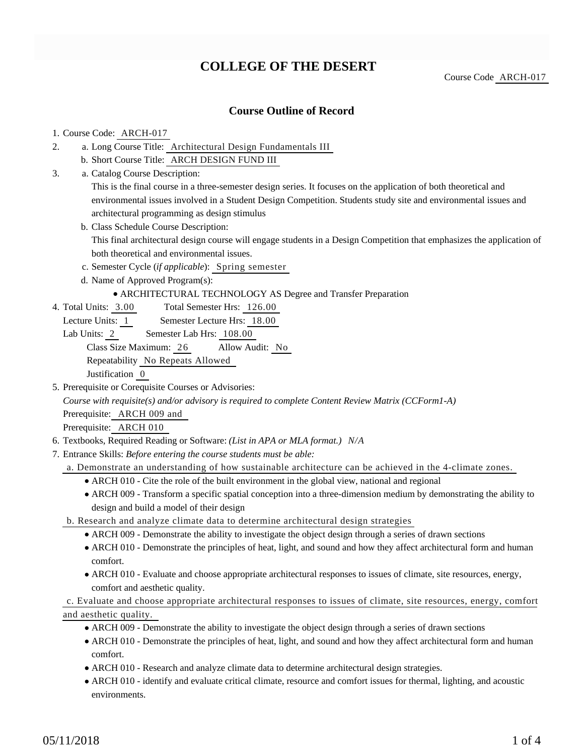# **COLLEGE OF THE DESERT**

Course Code ARCH-017

### **Course Outline of Record**

#### 1. Course Code: ARCH-017

- a. Long Course Title: Architectural Design Fundamentals III 2.
	- b. Short Course Title: ARCH DESIGN FUND III
- Catalog Course Description: a. 3.

This is the final course in a three-semester design series. It focuses on the application of both theoretical and environmental issues involved in a Student Design Competition. Students study site and environmental issues and architectural programming as design stimulus

b. Class Schedule Course Description:

This final architectural design course will engage students in a Design Competition that emphasizes the application of both theoretical and environmental issues.

- c. Semester Cycle (*if applicable*): Spring semester
- d. Name of Approved Program(s):

#### ARCHITECTURAL TECHNOLOGY AS Degree and Transfer Preparation

- Total Semester Hrs: 126.00 4. Total Units: 3.00
	- Lecture Units: 1 Semester Lecture Hrs: 18.00
- Lab Units: 2 Semester Lab Hrs: 108.00

Class Size Maximum: 26 Allow Audit: No

Repeatability No Repeats Allowed

Justification 0

5. Prerequisite or Corequisite Courses or Advisories:

*Course with requisite(s) and/or advisory is required to complete Content Review Matrix (CCForm1-A)*

Prerequisite: ARCH 009 and

Prerequisite: ARCH 010

- 6. Textbooks, Required Reading or Software: *(List in APA or MLA format.) N/A*
- Entrance Skills: *Before entering the course students must be able:* 7.
	- a. Demonstrate an understanding of how sustainable architecture can be achieved in the 4-climate zones.
		- ARCH 010 Cite the role of the built environment in the global view, national and regional
		- ARCH 009 Transform a specific spatial conception into a three-dimension medium by demonstrating the ability to design and build a model of their design
	- b. Research and analyze climate data to determine architectural design strategies
		- ARCH 009 Demonstrate the ability to investigate the object design through a series of drawn sections
		- ARCH 010 Demonstrate the principles of heat, light, and sound and how they affect architectural form and human comfort.
		- ARCH 010 Evaluate and choose appropriate architectural responses to issues of climate, site resources, energy, comfort and aesthetic quality.

### c. Evaluate and choose appropriate architectural responses to issues of climate, site resources, energy, comfort and aesthetic quality.

- ARCH 009 Demonstrate the ability to investigate the object design through a series of drawn sections
- ARCH 010 Demonstrate the principles of heat, light, and sound and how they affect architectural form and human comfort.
- ARCH 010 Research and analyze climate data to determine architectural design strategies.
- ARCH 010 identify and evaluate critical climate, resource and comfort issues for thermal, lighting, and acoustic environments.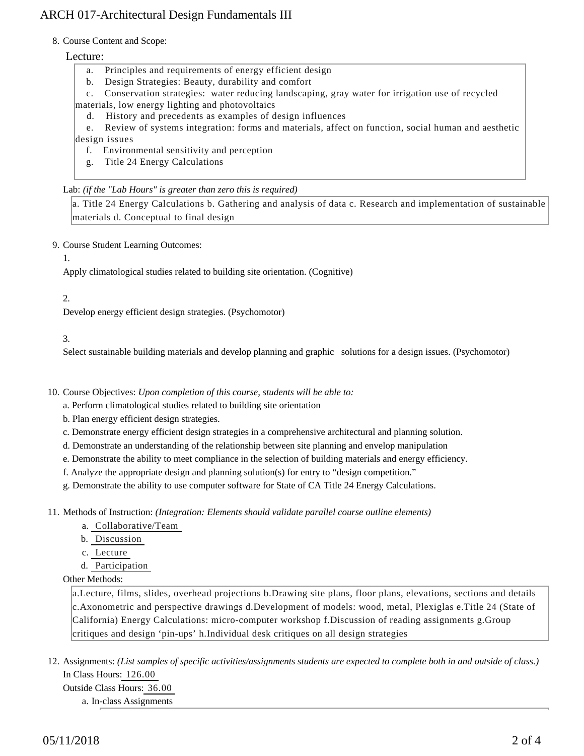## ARCH 017-Architectural Design Fundamentals III

#### 8. Course Content and Scope:

#### Lecture:

- a. Principles and requirements of energy efficient design
- b. Design Strategies: Beauty, durability and comfort
- c. Conservation strategies: water reducing landscaping, gray water for irrigation use of recycled
- materials, low energy lighting and photovoltaics
	- d. History and precedents as examples of design influences

 e. Review of systems integration: forms and materials, affect on function, social human and aesthetic design issues

- f. Environmental sensitivity and perception
- g. Title 24 Energy Calculations

Lab: *(if the "Lab Hours" is greater than zero this is required)*

a. Title 24 Energy Calculations b. Gathering and analysis of data c. Research and implementation of sustainable materials d. Conceptual to final design

9. Course Student Learning Outcomes:

1.

Apply climatological studies related to building site orientation. (Cognitive)

#### 2.

Develop energy efficient design strategies. (Psychomotor)

#### 3.

Select sustainable building materials and develop planning and graphic solutions for a design issues. (Psychomotor)

10. Course Objectives: Upon completion of this course, students will be able to:

a. Perform climatological studies related to building site orientation

b. Plan energy efficient design strategies.

c. Demonstrate energy efficient design strategies in a comprehensive architectural and planning solution.

d. Demonstrate an understanding of the relationship between site planning and envelop manipulation

e. Demonstrate the ability to meet compliance in the selection of building materials and energy efficiency.

f. Analyze the appropriate design and planning solution(s) for entry to "design competition."

g. Demonstrate the ability to use computer software for State of CA Title 24 Energy Calculations.

11. Methods of Instruction: *(Integration: Elements should validate parallel course outline elements)* 

a. Collaborative/Team

b. Discussion

c. Lecture

d. Participation

#### Other Methods:

a.Lecture, films, slides, overhead projections b.Drawing site plans, floor plans, elevations, sections and details c.Axonometric and perspective drawings d.Development of models: wood, metal, Plexiglas e.Title 24 (State of California) Energy Calculations: micro-computer workshop f.Discussion of reading assignments g.Group critiques and design 'pin-ups' h.Individual desk critiques on all design strategies

12. Assignments: (List samples of specific activities/assignments students are expected to complete both in and outside of class.) In Class Hours: 126.00 Outside Class Hours: 36.00

a. In-class Assignments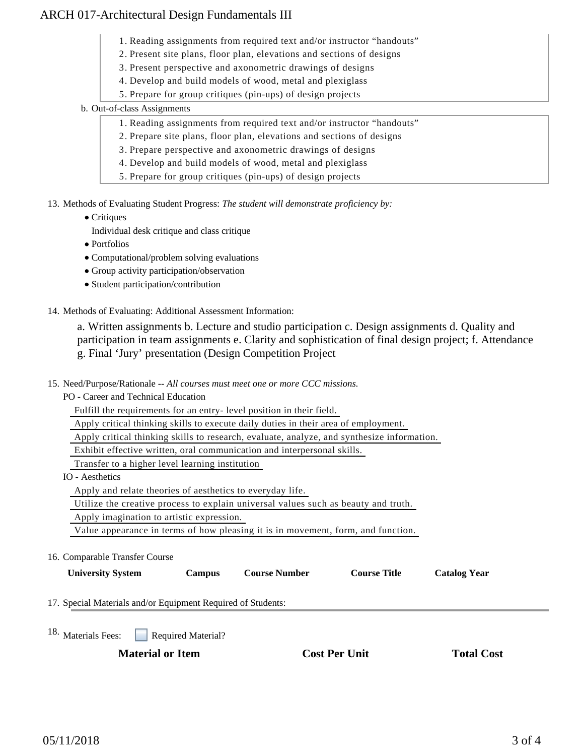### ARCH 017-Architectural Design Fundamentals III

- 1. Reading assignments from required text and/or instructor "handouts"
- 2. Present site plans, floor plan, elevations and sections of designs
- 3. Present perspective and axonometric drawings of designs
- 4. Develop and build models of wood, metal and plexiglass
- 5. Prepare for group critiques (pin-ups) of design projects
- b. Out-of-class Assignments
	- 1. Reading assignments from required text and/or instructor "handouts"
	- 2. Prepare site plans, floor plan, elevations and sections of designs
	- 3. Prepare perspective and axonometric drawings of designs
	- 4. Develop and build models of wood, metal and plexiglass
	- 5. Prepare for group critiques (pin-ups) of design projects
- 13. Methods of Evaluating Student Progress: The student will demonstrate proficiency by:
	- Critiques
		- Individual desk critique and class critique
	- Portfolios
	- Computational/problem solving evaluations
	- Group activity participation/observation
	- Student participation/contribution
- 14. Methods of Evaluating: Additional Assessment Information:

a. Written assignments b. Lecture and studio participation c. Design assignments d. Quality and participation in team assignments e. Clarity and sophistication of final design project; f. Attendance g. Final 'Jury' presentation (Design Competition Project

- 15. Need/Purpose/Rationale -- All courses must meet one or more CCC missions.
	- PO Career and Technical Education

Fulfill the requirements for an entry- level position in their field.

Apply critical thinking skills to execute daily duties in their area of employment.

Apply critical thinking skills to research, evaluate, analyze, and synthesize information.

Exhibit effective written, oral communication and interpersonal skills.

Transfer to a higher level learning institution

IO - Aesthetics

Apply and relate theories of aesthetics to everyday life.

Utilize the creative process to explain universal values such as beauty and truth.

Apply imagination to artistic expression.

Value appearance in terms of how pleasing it is in movement, form, and function.

16. Comparable Transfer Course

**University System Campus Course Number Course Title Catalog Year**

17. Special Materials and/or Equipment Required of Students:

Required Material? 18. Materials Fees:

**Material or Item Cost Per Unit Total Cost Per Unit Total Cost Per Unit Algebra**